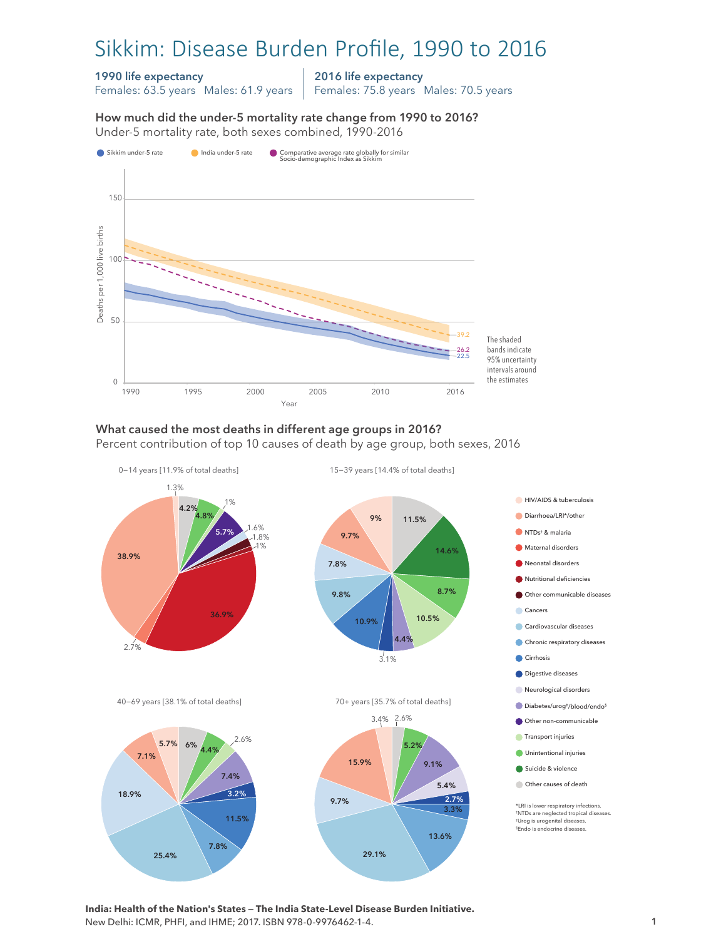# Sikkim: Disease Burden Profile, 1990 to 2016

#### 1990 life expectancy

Females: 63.5 years Males: 61.9 years

2016 life expectancy Females: 75.8 years Males: 70.5 years

How much did the under-5 mortality rate change from 1990 to 2016? Under-5 mortality rate, both sexes combined, 1990-2016 Under-5 mortality rate, both sexes combined, 1990-2016 How much did the under-5 mortality rate change from 1990 to 2016?



#### What caused the most deaths in different age groups in 2016?

Percent contribution of top 10 causes of death by age group, both sexes, 2016



**India: Health of the Nation's States — The India State-Level Disease Burden Initiative.**  New Delhi: ICMR, PHFI, and IHME; 2017. ISBN 978-0-9976462-1-4.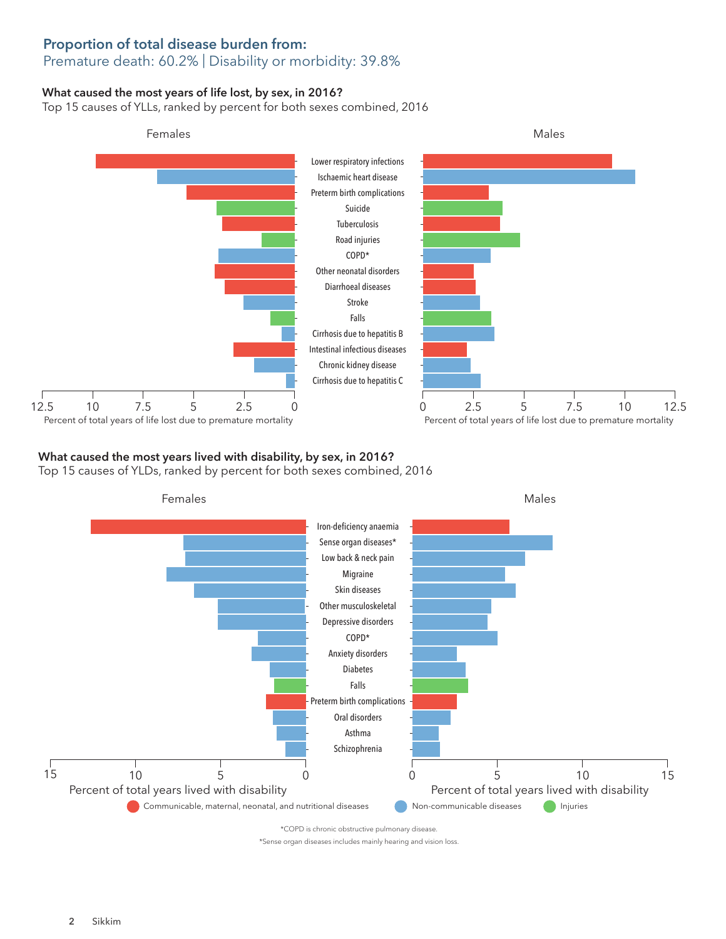## Proportion of total disease burden from:

## Premature death: 60.2% | Disability or morbidity: 39.8%

## What caused the most years of life lost, by sex, in 2016?

Top 15 causes of YLLs, ranked by percent for both sexes combined, 2016



### What caused the most years lived with disability, by sex, in 2016?

Top 15 causes of YLDs, ranked by percent for both sexes combined, 2016



\*COPD is chronic obstructive pulmonary disease.

\*Sense organ diseases includes mainly hearing and vision loss.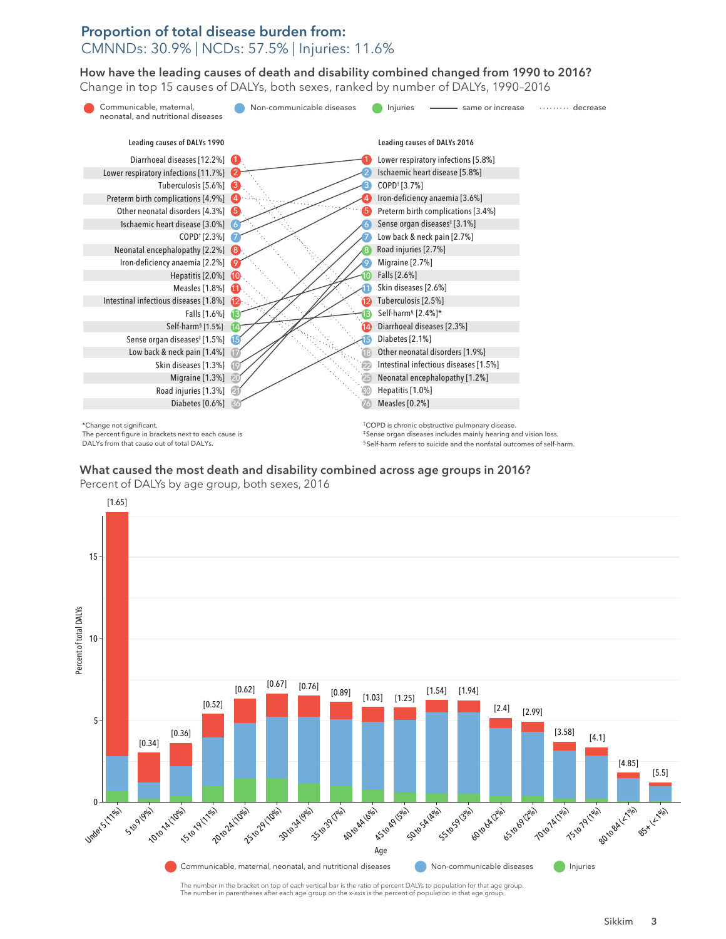## Proportion of total disease burden from: CMNNDs: 30.9% | NCDs: 57.5% | Injuries: 11.6%

How have the leading causes of death and disability combined changed from 1990 to 2016? How have the leading causes of death and disability combined changed from 1990 to 2016? Change in top 15 causes of DALYs, both sexes, ranked by number of DALYs, 1990–2016 Change in top 15 causes of DALYs, both sexes, ranked by number of DALYs, 1990–2016



The percent figure in brackets next to each cause is DALYs from that cause out of total DALYs.

‡Sense organ diseases includes mainly hearing and vision loss. § Self-harm refers to suicide and the nonfatal outcomes of self-harm.

#### $\mathcal{L}_{\mathcal{A}}$  where  $\mathcal{A}$  and disability combined across age groups in 2016? What caused the most death and disability combined across age groups in 2016?

Percent of DALYs by age group, both sexes, 2016



The number in the bracket on top of each vertical bar is the ratio of percent DALYs to population for that age group. The number in parentheses after each age group on the x-axis is the percent of population in that age group.